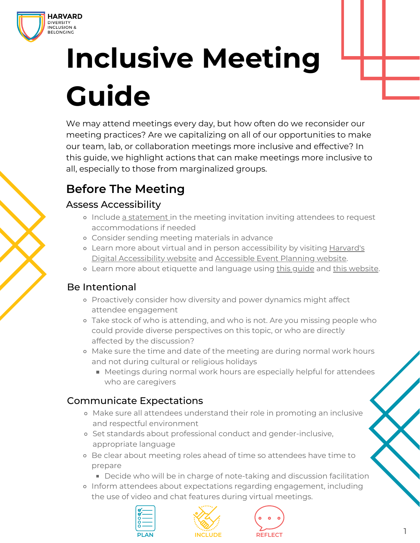

# **Inclusive Meeting Guide**

We may attend meetings every day, but how often do we reconsider our meeting practices? Are we capitalizing on all of our opportunities to make our team, lab, or collaboration meetings more inclusive and effective? In this guide, we highlight actions that can make meetings more inclusive to all, especially to those from marginalized groups.

# **Before The Meeting**

# Assess Accessibility

- Include [a statement i](https://accessibility.harvard.edu/publicity-materials)n the meeting invitation inviting attendees to request accommodations if needed
- Consider sending meeting materials in advance
- [Learn more about virtual and in person accessibility by visiting Harvard's](https://accessibility.huit.harvard.edu/hosting-accessible-remote-meetings-and-events) Digital Accessibility website and [Accessible Event Planning website](https://accessibility.harvard.edu/event-planning).
- o Learn more about etiquette and language using [this guide](https://www.diversity.pitt.edu/sites/default/files/disability_etiquette_guide.pdf) and [this website.](https://nwadacenter.org/factsheet/respectful-interactions-disability-language-and-etiquette)

# Be Intentional

- Proactively consider how diversity and power dynamics might affect attendee engagement
- Take stock of who is attending, and who is not. Are you missing people who could provide diverse perspectives on this topic, or who are directly affected by the discussion?
- Make sure the time and date of the meeting are during normal work hours and not during cultural or religious holidays
	- Meetings during normal work hours are especially helpful for attendees who are caregivers

# Communicate Expectations

- Make sure all attendees understand their role in promoting an inclusive and respectful environment
- Set standards about professional conduct and gender-inclusive, appropriate language
- Be clear about meeting roles ahead of time so attendees have time to prepare
	- Decide who will be in charge of note-taking and discussion facilitation
- Inform attendees about expectations regarding engagement, including the use of video and chat features during virtual meetings.





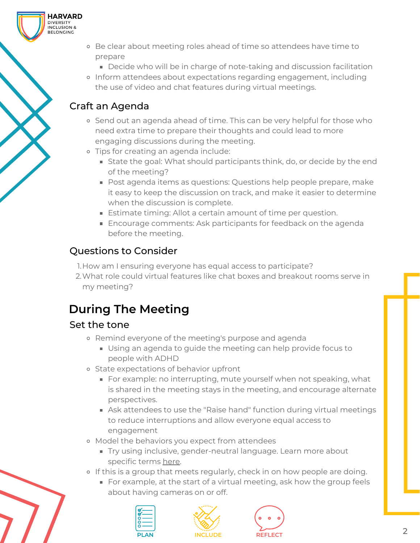

- Decide who will be in charge of note-taking and discussion facilitation
- Inform attendees about expectations regarding engagement, including the use of video and chat features during virtual meetings.

# Craft an Agenda

**HARVARD** - - - - - - - - - - -<br>DIVERSITY<br>INCLUSION & **SELONGING** 

- o Send out an agenda ahead of time. This can be very helpful for those who need extra time to prepare their thoughts and could lead to more engaging discussions during the meeting.
- Tips for creating an agenda include:
	- **State the goal: What should participants think, do, or decide by the end** of the meeting?
	- Post agenda items as questions: Questions help people prepare, make it easy to keep the discussion on track, and make it easier to determine when the discussion is complete.
	- **Estimate timing: Allot a certain amount of time per question.**
	- **Encourage comments: Ask participants for feedback on the agenda** before the meeting.

# Questions to Consider

1.How am I ensuring everyone has equal access to participate?

What role could virtual features like chat boxes and breakout rooms serve in 2. my meeting?

# **During The Meeting**

#### Set the tone

- o Remind everyone of the meeting's purpose and agenda
	- Using an agenda to guide the meeting can help provide focus to people with ADHD
- State expectations of behavior upfront
	- **For example: no interrupting, mute yourself when not speaking, what** is shared in the meeting stays in the meeting, and encourage alternate perspectives.
	- Ask attendees to use the "Raise hand" function during virtual meetings to reduce interruptions and allow everyone equal access to engagement
- Model the behaviors you expect from attendees
	- Try using inclusive, gender-neutral language. Learn more about specific terms [here.](https://dib.harvard.edu/dib-glossary)
- o If this is a group that meets regularly, check in on how people are doing.
	- For example, at the start of a virtual meeting, ask how the group feels about having cameras on or off.







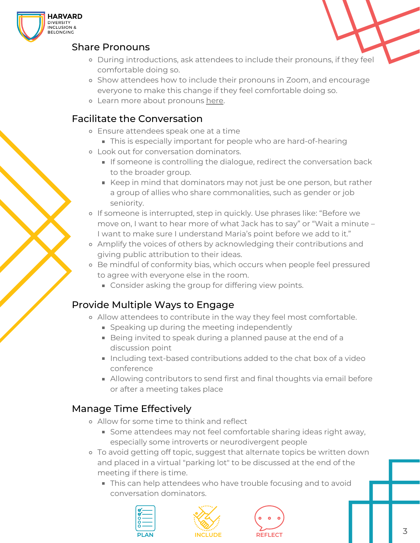

#### Share Pronouns

- During introductions, ask attendees to include their pronouns, if they feel comfortable doing so.
- Show attendees how to include their pronouns in Zoom, and encourage everyone to make this change if they feel comfortable doing so.
- Learn more about pronouns [here.](https://dib.harvard.edu/gender-pronouns)

## Facilitate the Conversation

- Ensure attendees speak one at a time
	- This is especially important for people who are hard-of-hearing
- Look out for conversation dominators.
	- If someone is controlling the dialogue, redirect the conversation back to the broader group.
	- Keep in mind that dominators may not just be one person, but rather a group of allies who share commonalities, such as gender or job seniority.
- o If someone is interrupted, step in quickly. Use phrases like: "Before we move on, I want to hear more of what Jack has to say" or "Wait a minute – I want to make sure I understand Maria's point before we add to it."
- Amplify the voices of others by acknowledging their contributions and giving public attribution to their ideas.
- o Be mindful of conformity bias, which occurs when people feel pressured to agree with everyone else in the room.
	- **Consider asking the group for differing view points.**

# Provide Multiple Ways to Engage

- Allow attendees to contribute in the way they feel most comfortable.
	- **Speaking up during the meeting independently**
	- Being invited to speak during a planned pause at the end of a discussion point
	- Including text-based contributions added to the chat box of a video conference
	- Allowing contributors to send first and final thoughts via email before or after a meeting takes place

# Manage Time Effectively

- Allow for some time to think and reflect
	- Some attendees may not feel comfortable sharing ideas right away, especially some introverts or neurodivergent people
- To avoid getting off topic, suggest that alternate topics be written down and placed in a virtual "parking lot" to be discussed at the end of the meeting if there is time.
	- **This can help attendees who have trouble focusing and to avoid** conversation dominators.